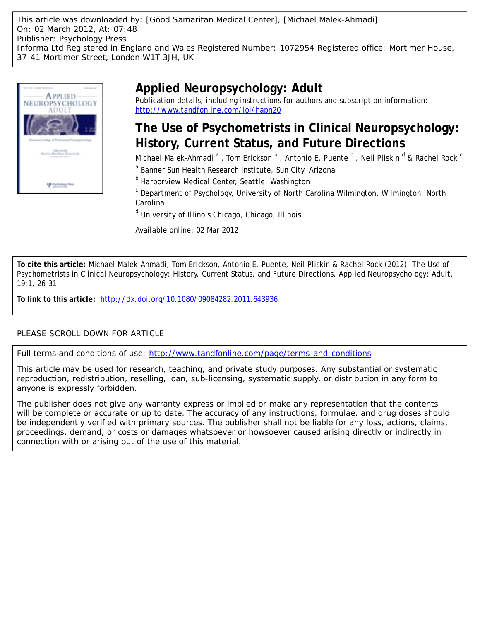This article was downloaded by: [Good Samaritan Medical Center], [Michael Malek-Ahmadi] On: 02 March 2012, At: 07:48 Publisher: Psychology Press Informa Ltd Registered in England and Wales Registered Number: 1072954 Registered office: Mortimer House, 37-41 Mortimer Street, London W1T 3JH, UK



# **Applied Neuropsychology: Adult**

Publication details, including instructions for authors and subscription information: <http://www.tandfonline.com/loi/hapn20>

## **The Use of Psychometrists in Clinical Neuropsychology: History, Current Status, and Future Directions**

Michael Malek-Ahmadi  $^{\rm a}$  , Tom Erickson  $^{\rm b}$  , Antonio E. Puente  $^{\rm c}$  , Neil Pliskin  $^{\rm d}$  & Rachel Rock  $^{\rm c}$ 

<sup>a</sup> Banner Sun Health Research Institute, Sun City, Arizona

**b** Harborview Medical Center, Seattle, Washington

<sup>c</sup> Department of Psychology, University of North Carolina Wilmington, Wilmington, North Carolina

<sup>d</sup> University of Illinois Chicago, Chicago, Illinois

Available online: 02 Mar 2012

**To cite this article:** Michael Malek-Ahmadi, Tom Erickson, Antonio E. Puente, Neil Pliskin & Rachel Rock (2012): The Use of Psychometrists in Clinical Neuropsychology: History, Current Status, and Future Directions, Applied Neuropsychology: Adult, 19:1, 26-31

**To link to this article:** <http://dx.doi.org/10.1080/09084282.2011.643936>

## PLEASE SCROLL DOWN FOR ARTICLE

Full terms and conditions of use:<http://www.tandfonline.com/page/terms-and-conditions>

This article may be used for research, teaching, and private study purposes. Any substantial or systematic reproduction, redistribution, reselling, loan, sub-licensing, systematic supply, or distribution in any form to anyone is expressly forbidden.

The publisher does not give any warranty express or implied or make any representation that the contents will be complete or accurate or up to date. The accuracy of any instructions, formulae, and drug doses should be independently verified with primary sources. The publisher shall not be liable for any loss, actions, claims, proceedings, demand, or costs or damages whatsoever or howsoever caused arising directly or indirectly in connection with or arising out of the use of this material.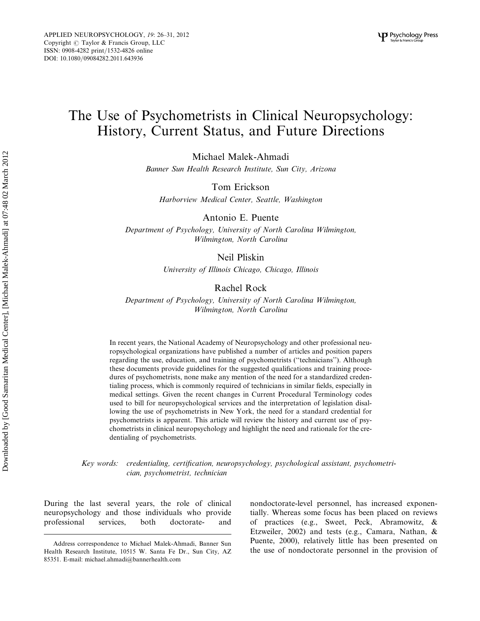## The Use of Psychometrists in Clinical Neuropsychology: History, Current Status, and Future Directions

Michael Malek-Ahmadi

Banner Sun Health Research Institute, Sun City, Arizona

Tom Erickson

Harborview Medical Center, Seattle, Washington

Antonio E. Puente

Department of Psychology, University of North Carolina Wilmington, Wilmington, North Carolina

## Neil Pliskin

University of Illinois Chicago, Chicago, Illinois

### Rachel Rock

Department of Psychology, University of North Carolina Wilmington, Wilmington, North Carolina

In recent years, the National Academy of Neuropsychology and other professional neuropsychological organizations have published a number of articles and position papers regarding the use, education, and training of psychometrists (''technicians''). Although these documents provide guidelines for the suggested qualifications and training procedures of psychometrists, none make any mention of the need for a standardized credentialing process, which is commonly required of technicians in similar fields, especially in medical settings. Given the recent changes in Current Procedural Terminology codes used to bill for neuropsychological services and the interpretation of legislation disallowing the use of psychometrists in New York, the need for a standard credential for psychometrists is apparent. This article will review the history and current use of psychometrists in clinical neuropsychology and highlight the need and rationale for the credentialing of psychometrists.

Key words: credentialing, certification, neuropsychology, psychological assistant, psychometrician, psychometrist, technician

During the last several years, the role of clinical neuropsychology and those individuals who provide professional services, both doctorate- and

nondoctorate-level personnel, has increased exponentially. Whereas some focus has been placed on reviews of practices (e.g., Sweet, Peck, Abramowitz, & Etzweiler, 2002) and tests (e.g., Camara, Nathan, & Puente, 2000), relatively little has been presented on

Address correspondence to Michael Malek-Ahmadi, Banner Sun<br>
Health Research Institute, 10515 W. Santa Fe Dr., Sun City, AZ<br>
the use of nondoctorate personnel in the provision of 85351. E-mail: michael.ahmadi@bannerhealth.com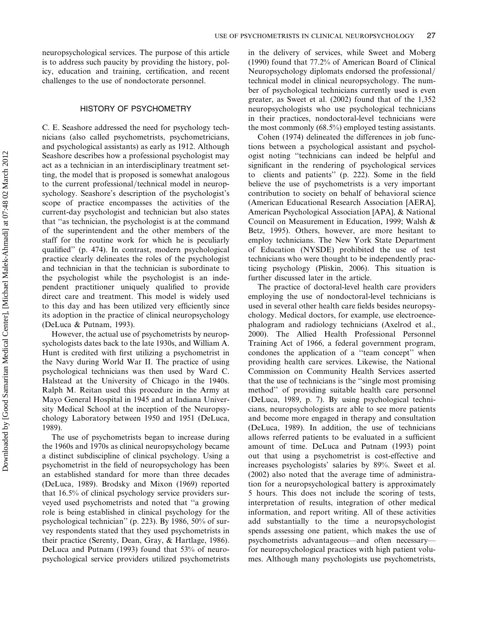neuropsychological services. The purpose of this article is to address such paucity by providing the history, policy, education and training, certification, and recent challenges to the use of nondoctorate personnel.

#### HISTORY OF PSYCHOMETRY

C. E. Seashore addressed the need for psychology technicians (also called psychometrists, psychometricians, and psychological assistants) as early as 1912. Although Seashore describes how a professional psychologist may act as a technician in an interdisciplinary treatment setting, the model that is proposed is somewhat analogous to the current professional/technical model in neuropsychology. Seashore's description of the psychologist's scope of practice encompasses the activities of the current-day psychologist and technician but also states that ''as technician, the psychologist is at the command of the superintendent and the other members of the staff for the routine work for which he is peculiarly qualified'' (p. 474). In contrast, modern psychological practice clearly delineates the roles of the psychologist and technician in that the technician is subordinate to the psychologist while the psychologist is an independent practitioner uniquely qualified to provide direct care and treatment. This model is widely used to this day and has been utilized very efficiently since its adoption in the practice of clinical neuropsychology (DeLuca & Putnam, 1993).

However, the actual use of psychometrists by neuropsychologists dates back to the late 1930s, and William A. Hunt is credited with first utilizing a psychometrist in the Navy during World War II. The practice of using psychological technicians was then used by Ward C. Halstead at the University of Chicago in the 1940s. Ralph M. Reitan used this procedure in the Army at Mayo General Hospital in 1945 and at Indiana University Medical School at the inception of the Neuropsychology Laboratory between 1950 and 1951 (DeLuca, 1989).

The use of psychometrists began to increase during the 1960s and 1970s as clinical neuropsychology became a distinct subdiscipline of clinical psychology. Using a psychometrist in the field of neuropsychology has been an established standard for more than three decades (DeLuca, 1989). Brodsky and Mixon (1969) reported that 16.5% of clinical psychology service providers surveyed used psychometrists and noted that ''a growing role is being established in clinical psychology for the psychological technician'' (p. 223). By 1986, 50% of survey respondents stated that they used psychometrists in their practice (Serenty, Dean, Gray, & Hartlage, 1986). DeLuca and Putnam (1993) found that 53% of neuropsychological service providers utilized psychometrists in the delivery of services, while Sweet and Moberg (1990) found that 77.2% of American Board of Clinical Neuropsychology diplomats endorsed the professional/ technical model in clinical neuropsychology. The number of psychological technicians currently used is even greater, as Sweet et al. (2002) found that of the 1,352 neuropsychologists who use psychological technicians in their practices, nondoctoral-level technicians were the most commonly (68.5%) employed testing assistants.

Cohen (1974) delineated the differences in job functions between a psychological assistant and psychologist noting ''technicians can indeed be helpful and significant in the rendering of psychological services to clients and patients'' (p. 222). Some in the field believe the use of psychometrists is a very important contribution to society on behalf of behavioral science (American Educational Research Association [AERA], American Psychological Association [APA], & National Council on Measurement in Education, 1999; Walsh & Betz, 1995). Others, however, are more hesitant to employ technicians. The New York State Department of Education (NYSDE) prohibited the use of test technicians who were thought to be independently practicing psychology (Pliskin, 2006). This situation is further discussed later in the article.

The practice of doctoral-level health care providers employing the use of nondoctoral-level technicians is used in several other health care fields besides neuropsychology. Medical doctors, for example, use electroencephalogram and radiology technicians (Axelrod et al., 2000). The Allied Health Professional Personnel Training Act of 1966, a federal government program, condones the application of a ''team concept'' when providing health care services. Likewise, the National Commission on Community Health Services asserted that the use of technicians is the ''single most promising method'' of providing suitable health care personnel (DeLuca, 1989, p. 7). By using psychological technicians, neuropsychologists are able to see more patients and become more engaged in therapy and consultation (DeLuca, 1989). In addition, the use of technicians allows referred patients to be evaluated in a sufficient amount of time. DeLuca and Putnam (1993) point out that using a psychometrist is cost-effective and increases psychologists' salaries by 89%. Sweet et al. (2002) also noted that the average time of administration for a neuropsychological battery is approximately 5 hours. This does not include the scoring of tests, interpretation of results, integration of other medical information, and report writing. All of these activities add substantially to the time a neuropsychologist spends assessing one patient, which makes the use of psychometrists advantageous—and often necessary for neuropsychological practices with high patient volumes. Although many psychologists use psychometrists,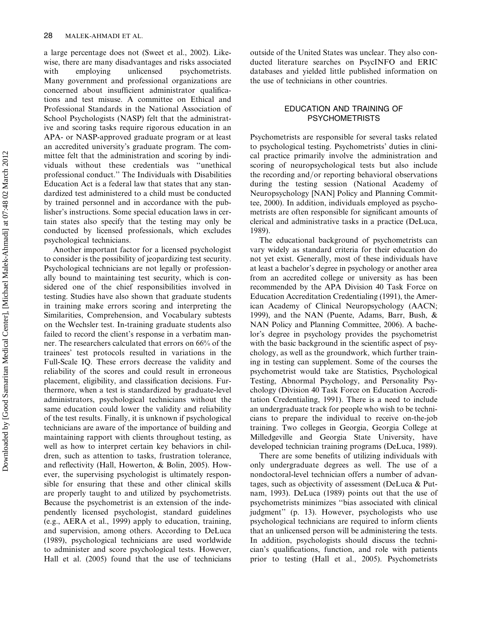a large percentage does not (Sweet et al., 2002). Likewise, there are many disadvantages and risks associated with employing unlicensed psychometrists. Many government and professional organizations are concerned about insufficient administrator qualifications and test misuse. A committee on Ethical and Professional Standards in the National Association of School Psychologists (NASP) felt that the administrative and scoring tasks require rigorous education in an APA- or NASP-approved graduate program or at least an accredited university's graduate program. The committee felt that the administration and scoring by individuals without these credentials was ''unethical professional conduct.'' The Individuals with Disabilities Education Act is a federal law that states that any standardized test administered to a child must be conducted by trained personnel and in accordance with the publisher's instructions. Some special education laws in certain states also specify that the testing may only be conducted by licensed professionals, which excludes psychological technicians.

Another important factor for a licensed psychologist to consider is the possibility of jeopardizing test security. Psychological technicians are not legally or professionally bound to maintaining test security, which is considered one of the chief responsibilities involved in testing. Studies have also shown that graduate students in training make errors scoring and interpreting the Similarities, Comprehension, and Vocabulary subtests on the Wechsler test. In-training graduate students also failed to record the client's response in a verbatim manner. The researchers calculated that errors on 66% of the trainees' test protocols resulted in variations in the Full-Scale IQ. These errors decrease the validity and reliability of the scores and could result in erroneous placement, eligibility, and classification decisions. Furthermore, when a test is standardized by graduate-level administrators, psychological technicians without the same education could lower the validity and reliability of the test results. Finally, it is unknown if psychological technicians are aware of the importance of building and maintaining rapport with clients throughout testing, as well as how to interpret certain key behaviors in children, such as attention to tasks, frustration tolerance, and reflectivity (Hall, Howerton, & Bolin, 2005). However, the supervising psychologist is ultimately responsible for ensuring that these and other clinical skills are properly taught to and utilized by psychometrists. Because the psychometrist is an extension of the independently licensed psychologist, standard guidelines (e.g., AERA et al., 1999) apply to education, training, and supervision, among others. According to DeLuca (1989), psychological technicians are used worldwide to administer and score psychological tests. However, Hall et al. (2005) found that the use of technicians

outside of the United States was unclear. They also conducted literature searches on PsycINFO and ERIC databases and yielded little published information on the use of technicians in other countries.

## EDUCATION AND TRAINING OF PSYCHOMETRISTS

Psychometrists are responsible for several tasks related to psychological testing. Psychometrists' duties in clinical practice primarily involve the administration and scoring of neuropsychological tests but also include the recording and/or reporting behavioral observations during the testing session (National Academy of Neuropsychology [NAN] Policy and Planning Committee, 2000). In addition, individuals employed as psychometrists are often responsible for significant amounts of clerical and administrative tasks in a practice (DeLuca, 1989).

The educational background of psychometrists can vary widely as standard criteria for their education do not yet exist. Generally, most of these individuals have at least a bachelor's degree in psychology or another area from an accredited college or university as has been recommended by the APA Division 40 Task Force on Education Accreditation Credentialing (1991), the American Academy of Clinical Neuropsychology (AACN; 1999), and the NAN (Puente, Adams, Barr, Bush, & NAN Policy and Planning Committee, 2006). A bachelor's degree in psychology provides the psychometrist with the basic background in the scientific aspect of psychology, as well as the groundwork, which further training in testing can supplement. Some of the courses the psychometrist would take are Statistics, Psychological Testing, Abnormal Psychology, and Personality Psychology (Division 40 Task Force on Education Accreditation Credentialing, 1991). There is a need to include an undergraduate track for people who wish to be technicians to prepare the individual to receive on-the-job training. Two colleges in Georgia, Georgia College at Milledgeville and Georgia State University, have developed technician training programs (DeLuca, 1989).

There are some benefits of utilizing individuals with only undergraduate degrees as well. The use of a nondoctoral-level technician offers a number of advantages, such as objectivity of assessment (DeLuca & Putnam, 1993). DeLuca (1989) points out that the use of psychometrists minimizes ''bias associated with clinical judgment'' (p. 13). However, psychologists who use psychological technicians are required to inform clients that an unlicensed person will be administering the tests. In addition, psychologists should discuss the technician's qualifications, function, and role with patients prior to testing (Hall et al., 2005). Psychometrists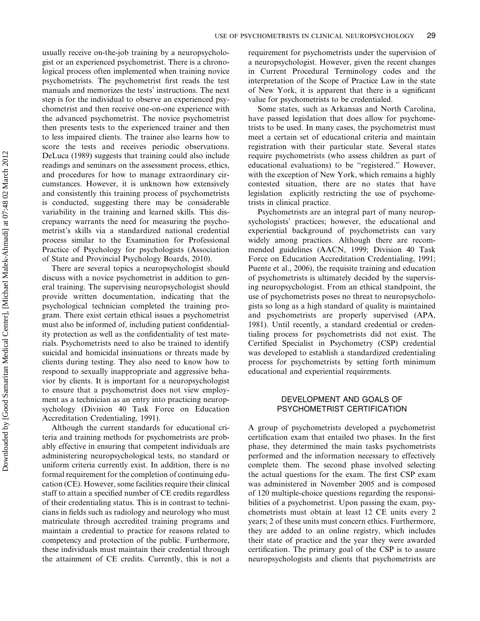usually receive on-the-job training by a neuropsychologist or an experienced psychometrist. There is a chronological process often implemented when training novice psychometrists. The psychometrist first reads the test manuals and memorizes the tests' instructions. The next step is for the individual to observe an experienced psychometrist and then receive one-on-one experience with the advanced psychometrist. The novice psychometrist then presents tests to the experienced trainer and then to less impaired clients. The trainee also learns how to score the tests and receives periodic observations. DeLuca (1989) suggests that training could also include readings and seminars on the assessment process, ethics, and procedures for how to manage extraordinary circumstances. However, it is unknown how extensively and consistently this training process of psychometrists is conducted, suggesting there may be considerable variability in the training and learned skills. This discrepancy warrants the need for measuring the psychometrist's skills via a standardized national credential process similar to the Examination for Professional Practice of Psychology for psychologists (Association of State and Provincial Psychology Boards, 2010).

There are several topics a neuropsychologist should discuss with a novice psychometrist in addition to general training. The supervising neuropsychologist should provide written documentation, indicating that the psychological technician completed the training program. There exist certain ethical issues a psychometrist must also be informed of, including patient confidentiality protection as well as the confidentiality of test materials. Psychometrists need to also be trained to identify suicidal and homicidal insinuations or threats made by clients during testing. They also need to know how to respond to sexually inappropriate and aggressive behavior by clients. It is important for a neuropsychologist to ensure that a psychometrist does not view employment as a technician as an entry into practicing neuropsychology (Division 40 Task Force on Education Accreditation Credentialing, 1991).

Although the current standards for educational criteria and training methods for psychometrists are probably effective in ensuring that competent individuals are administering neuropsychological tests, no standard or uniform criteria currently exist. In addition, there is no formal requirement for the completion of continuing education (CE). However, some facilities require their clinical staff to attain a specified number of CE credits regardless of their credentialing status. This is in contrast to technicians in fields such as radiology and neurology who must matriculate through accredited training programs and maintain a credential to practice for reasons related to competency and protection of the public. Furthermore, these individuals must maintain their credential through the attainment of CE credits. Currently, this is not a requirement for psychometrists under the supervision of a neuropsychologist. However, given the recent changes in Current Procedural Terminology codes and the interpretation of the Scope of Practice Law in the state of New York, it is apparent that there is a significant value for psychometrists to be credentialed.

Some states, such as Arkansas and North Carolina, have passed legislation that does allow for psychometrists to be used. In many cases, the psychometrist must meet a certain set of educational criteria and maintain registration with their particular state. Several states require psychometrists (who assess children as part of educational evaluations) to be ''registered.'' However, with the exception of New York, which remains a highly contested situation, there are no states that have legislation explicitly restricting the use of psychometrists in clinical practice.

Psychometrists are an integral part of many neuropsychologists' practices; however, the educational and experiential background of psychometrists can vary widely among practices. Although there are recommended guidelines (AACN, 1999; Division 40 Task Force on Education Accreditation Credentialing, 1991; Puente et al., 2006), the requisite training and education of psychometrists is ultimately decided by the supervising neuropsychologist. From an ethical standpoint, the use of psychometrists poses no threat to neuropsychologists so long as a high standard of quality is maintained and psychometrists are properly supervised (APA, 1981). Until recently, a standard credential or credentialing process for psychometrists did not exist. The Certified Specialist in Psychometry (CSP) credential was developed to establish a standardized credentialing process for psychometrists by setting forth minimum educational and experiential requirements.

### DEVELOPMENT AND GOALS OF PSYCHOMETRIST CERTIFICATION

A group of psychometrists developed a psychometrist certification exam that entailed two phases. In the first phase, they determined the main tasks psychometrists performed and the information necessary to effectively complete them. The second phase involved selecting the actual questions for the exam. The first CSP exam was administered in November 2005 and is composed of 120 multiple-choice questions regarding the responsibilities of a psychometrist. Upon passing the exam, psychometrists must obtain at least 12 CE units every 2 years; 2 of these units must concern ethics. Furthermore, they are added to an online registry, which includes their state of practice and the year they were awarded certification. The primary goal of the CSP is to assure neuropsychologists and clients that psychometrists are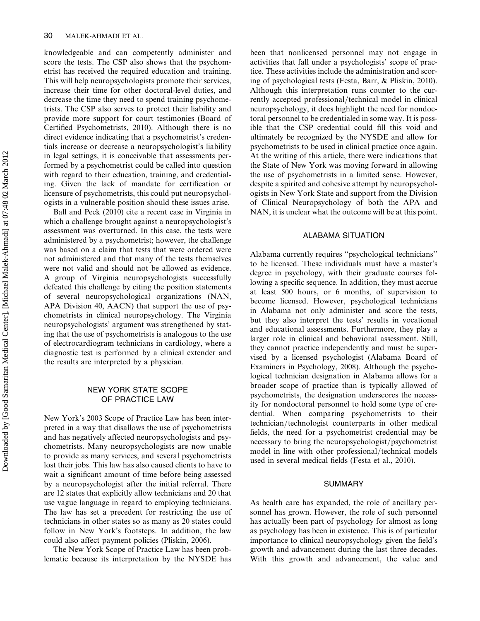knowledgeable and can competently administer and score the tests. The CSP also shows that the psychometrist has received the required education and training. This will help neuropsychologists promote their services, increase their time for other doctoral-level duties, and decrease the time they need to spend training psychometrists. The CSP also serves to protect their liability and provide more support for court testimonies (Board of Certified Psychometrists, 2010). Although there is no direct evidence indicating that a psychometrist's credentials increase or decrease a neuropsychologist's liability in legal settings, it is conceivable that assessments performed by a psychometrist could be called into question with regard to their education, training, and credentialing. Given the lack of mandate for certification or licensure of psychometrists, this could put neuropsychologists in a vulnerable position should these issues arise.

Ball and Peck (2010) cite a recent case in Virginia in which a challenge brought against a neuropsychologist's assessment was overturned. In this case, the tests were administered by a psychometrist; however, the challenge was based on a claim that tests that were ordered were not administered and that many of the tests themselves were not valid and should not be allowed as evidence. A group of Virginia neuropsychologists successfully defeated this challenge by citing the position statements of several neuropsychological organizations (NAN, APA Division 40, AACN) that support the use of psychometrists in clinical neuropsychology. The Virginia neuropsychologists' argument was strengthened by stating that the use of psychometrists is analogous to the use of electrocardiogram technicians in cardiology, where a diagnostic test is performed by a clinical extender and the results are interpreted by a physician.

### NEW YORK STATE SCOPE OF PRACTICE LAW

New York's 2003 Scope of Practice Law has been interpreted in a way that disallows the use of psychometrists and has negatively affected neuropsychologists and psychometrists. Many neuropsychologists are now unable to provide as many services, and several psychometrists lost their jobs. This law has also caused clients to have to wait a significant amount of time before being assessed by a neuropsychologist after the initial referral. There are 12 states that explicitly allow technicians and 20 that use vague language in regard to employing technicians. The law has set a precedent for restricting the use of technicians in other states so as many as 20 states could follow in New York's footsteps. In addition, the law could also affect payment policies (Pliskin, 2006).

The New York Scope of Practice Law has been problematic because its interpretation by the NYSDE has been that nonlicensed personnel may not engage in activities that fall under a psychologists' scope of practice. These activities include the administration and scoring of psychological tests (Festa, Barr, & Pliskin, 2010). Although this interpretation runs counter to the currently accepted professional/technical model in clinical neuropsychology, it does highlight the need for nondoctoral personnel to be credentialed in some way. It is possible that the CSP credential could fill this void and ultimately be recognized by the NYSDE and allow for psychometrists to be used in clinical practice once again. At the writing of this article, there were indications that the State of New York was moving forward in allowing the use of psychometrists in a limited sense. However, despite a spirited and cohesive attempt by neuropsychologists in New York State and support from the Division of Clinical Neuropsychology of both the APA and NAN, it is unclear what the outcome will be at this point.

#### ALABAMA SITUATION

Alabama currently requires ''psychological technicians'' to be licensed. These individuals must have a master's degree in psychology, with their graduate courses following a specific sequence. In addition, they must accrue at least 500 hours, or 6 months, of supervision to become licensed. However, psychological technicians in Alabama not only administer and score the tests, but they also interpret the tests' results in vocational and educational assessments. Furthermore, they play a larger role in clinical and behavioral assessment. Still, they cannot practice independently and must be supervised by a licensed psychologist (Alabama Board of Examiners in Psychology, 2008). Although the psychological technician designation in Alabama allows for a broader scope of practice than is typically allowed of psychometrists, the designation underscores the necessity for nondoctoral personnel to hold some type of credential. When comparing psychometrists to their technician/technologist counterparts in other medical fields, the need for a psychometrist credential may be necessary to bring the neuropsychologist/psychometrist model in line with other professional/technical models used in several medical fields (Festa et al., 2010).

#### SUMMARY

As health care has expanded, the role of ancillary personnel has grown. However, the role of such personnel has actually been part of psychology for almost as long as psychology has been in existence. This is of particular importance to clinical neuropsychology given the field's growth and advancement during the last three decades. With this growth and advancement, the value and